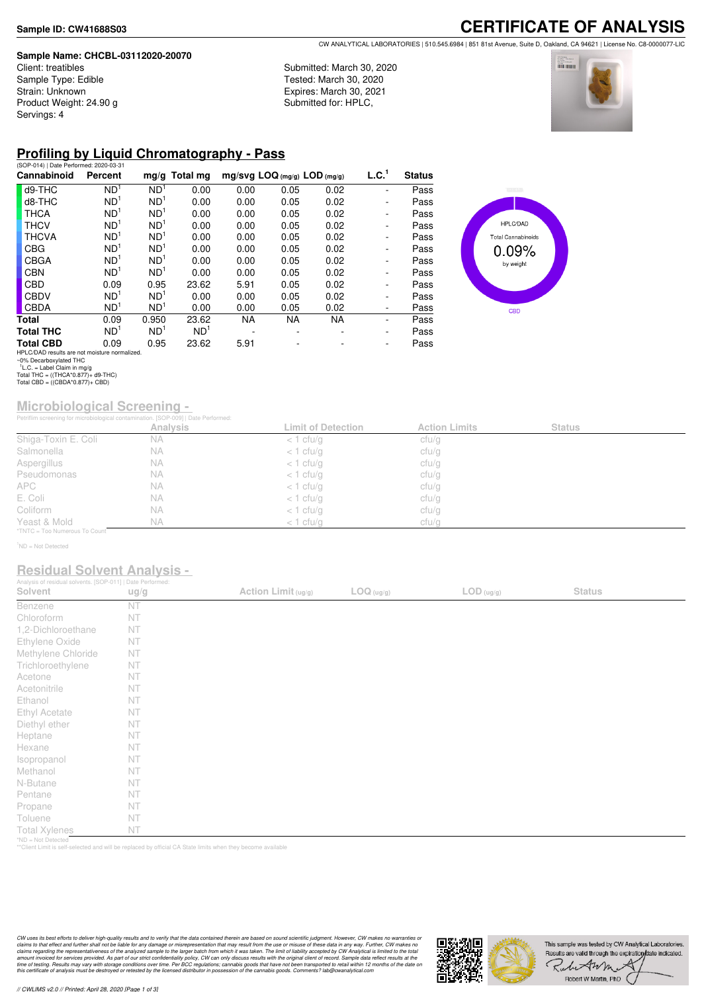#### **Sample Name: CHCBL-03112020-20070**

Client: treatibles Sample Type: Edible Strain: Unknown Product Weight: 24.90 g Servings: 4

### **CERTIFICATE OF ANALYSIS** CW ANALYTICAL LABORATORIES | 510.545.6984 | 851 81st Avenue, Suite D, Oakland, CA 94621 | License No. C8-0000077-LIC

Submitted: March 30, 2020 Tested: March 30, 2020 Expires: March 30, 2021 Submitted for: HPLC,



## **Profiling by Liquid Chromatography - Pass**

| (SOP-014)   Date Performed: 2020-03-31        |                 |                 |                 |                                |      |           |                   |               |
|-----------------------------------------------|-----------------|-----------------|-----------------|--------------------------------|------|-----------|-------------------|---------------|
| Cannabinoid                                   | Percent         |                 | $mg/g$ Total mg | $mg/svg$ LOQ (mg/g) LOD (mg/g) |      |           | L.C. <sup>1</sup> | <b>Status</b> |
| d9-THC                                        | ND <sup>1</sup> | ND <sup>1</sup> | 0.00            | 0.00                           | 0.05 | 0.02      |                   | Pass          |
| d8-THC                                        | ND <sup>1</sup> | ND <sup>1</sup> | 0.00            | 0.00                           | 0.05 | 0.02      | ۰                 | Pass          |
| <b>THCA</b>                                   | ND <sup>1</sup> | ND <sup>1</sup> | 0.00            | 0.00                           | 0.05 | 0.02      | ۰                 | Pass          |
| <b>THCV</b>                                   | ND <sup>1</sup> | ND <sup>1</sup> | 0.00            | 0.00                           | 0.05 | 0.02      | -                 | Pass          |
| <b>THCVA</b>                                  | ND <sup>1</sup> | ND <sup>1</sup> | 0.00            | 0.00                           | 0.05 | 0.02      | ۰                 | Pass          |
| <b>CBG</b>                                    | ND <sup>1</sup> | ND <sup>1</sup> | 0.00            | 0.00                           | 0.05 | 0.02      | ۰                 | Pass          |
| <b>CBGA</b>                                   | ND <sup>1</sup> | ND <sup>1</sup> | 0.00            | 0.00                           | 0.05 | 0.02      | -                 | Pass          |
| <b>CBN</b>                                    | ND <sup>1</sup> | ND <sup>1</sup> | 0.00            | 0.00                           | 0.05 | 0.02      | ۰                 | Pass          |
| <b>CBD</b>                                    | 0.09            | 0.95            | 23.62           | 5.91                           | 0.05 | 0.02      | ۰                 | Pass          |
| <b>CBDV</b>                                   | ND <sup>1</sup> | ND <sup>1</sup> | 0.00            | 0.00                           | 0.05 | 0.02      | -                 | Pass          |
| <b>CBDA</b>                                   | ND <sup>1</sup> | ND <sup>1</sup> | 0.00            | 0.00                           | 0.05 | 0.02      | -                 | Pass          |
| Total                                         | 0.09            | 0.950           | 23.62           | NA.                            | NA.  | <b>NA</b> | ۰                 | Pass          |
| <b>Total THC</b>                              | ND <sup>1</sup> | ND <sup>1</sup> | ND <sup>1</sup> |                                |      |           | ۰                 | Pass          |
| <b>Total CBD</b>                              | 0.09            | 0.95            | 23.62           | 5.91                           |      |           | ٠                 | Pass          |
| HPLC/DAD results are not moisture normalized. |                 |                 |                 |                                |      |           |                   |               |



## **Microbiological Screening -**

|                               | Petriflim screening for microbiological contamination. [SOP-009]   Date Performed: |                           |                      |               |  |
|-------------------------------|------------------------------------------------------------------------------------|---------------------------|----------------------|---------------|--|
|                               | <b>Analysis</b>                                                                    | <b>Limit of Detection</b> | <b>Action Limits</b> | <b>Status</b> |  |
| Shiga-Toxin E. Coli           | <b>NA</b>                                                                          | $<$ 1 cfu/g               | cfu/g                |               |  |
| Salmonella                    | NА                                                                                 | $<$ 1 cfu/g               | cfu/g                |               |  |
| Aspergillus                   | ΝA                                                                                 | $<$ 1 cfu/g               | cfu/g                |               |  |
| Pseudomonas                   | <b>NA</b>                                                                          | $<$ 1 cfu/g               | cfu/g                |               |  |
| APC.                          | NА                                                                                 | $<$ 1 cfu/g               | cfu/g                |               |  |
| E. Coli                       | ΝA                                                                                 | $<$ 1 cfu/g               | cfu/g                |               |  |
| Coliform                      | N A                                                                                | $<$ 1 cfu/g               | ctu/g                |               |  |
| Yeast & Mold                  | <b>NA</b>                                                                          | $<$ 1 cfu/g               | cfu/g                |               |  |
| *TNTC = Too Numerous To Count |                                                                                    |                           |                      |               |  |

<sup>1</sup>ND = Not Detected

### **Residual Solvent Analysis -**

| Analysis of residual solvents. [SOP-011]   Date Performed: |      |                     |            |                                          |               |  |
|------------------------------------------------------------|------|---------------------|------------|------------------------------------------|---------------|--|
| Solvent                                                    | ug/g | Action Limit (ug/g) | LOG (ug/g) | $\mathsf{LOD}\left(\mathsf{ug/g}\right)$ | <b>Status</b> |  |
| Benzene                                                    | NT   |                     |            |                                          |               |  |
| Chloroform                                                 | NT   |                     |            |                                          |               |  |
| 1,2-Dichloroethane                                         | NT   |                     |            |                                          |               |  |
| Ethylene Oxide                                             | NT   |                     |            |                                          |               |  |
| Methylene Chloride                                         | NT   |                     |            |                                          |               |  |
| Trichloroethylene                                          | NT   |                     |            |                                          |               |  |
| Acetone                                                    | NT   |                     |            |                                          |               |  |
| Acetonitrile                                               | NT   |                     |            |                                          |               |  |
| Ethanol                                                    | NT   |                     |            |                                          |               |  |
| Ethyl Acetate                                              | NT   |                     |            |                                          |               |  |
| Diethyl ether                                              | NT   |                     |            |                                          |               |  |
| Heptane                                                    | NT   |                     |            |                                          |               |  |
| Hexane                                                     | NT   |                     |            |                                          |               |  |
| Isopropanol                                                | NT   |                     |            |                                          |               |  |
| Methanol                                                   | NT   |                     |            |                                          |               |  |
| N-Butane                                                   | NT   |                     |            |                                          |               |  |
| Pentane                                                    | NT   |                     |            |                                          |               |  |
| Propane                                                    | NT   |                     |            |                                          |               |  |
| Toluene                                                    | NT   |                     |            |                                          |               |  |
| <b>Total Xylenes</b>                                       | NT   |                     |            |                                          |               |  |
| *ND = Not Detected                                         |      |                     |            |                                          |               |  |

\*ND = Not Detected \*\*Client Limit is self-selected and will be replaced by official CA State limits when they become available



HPLC/DAD results are not moisture normalized. ~0% Decarboxylated THC 1 L.C. = Label Claim in mg/g Total THC = ((THCA\*0.877)+ d9-THC) Total CBD = ((CBDA\*0.877)+ CBD)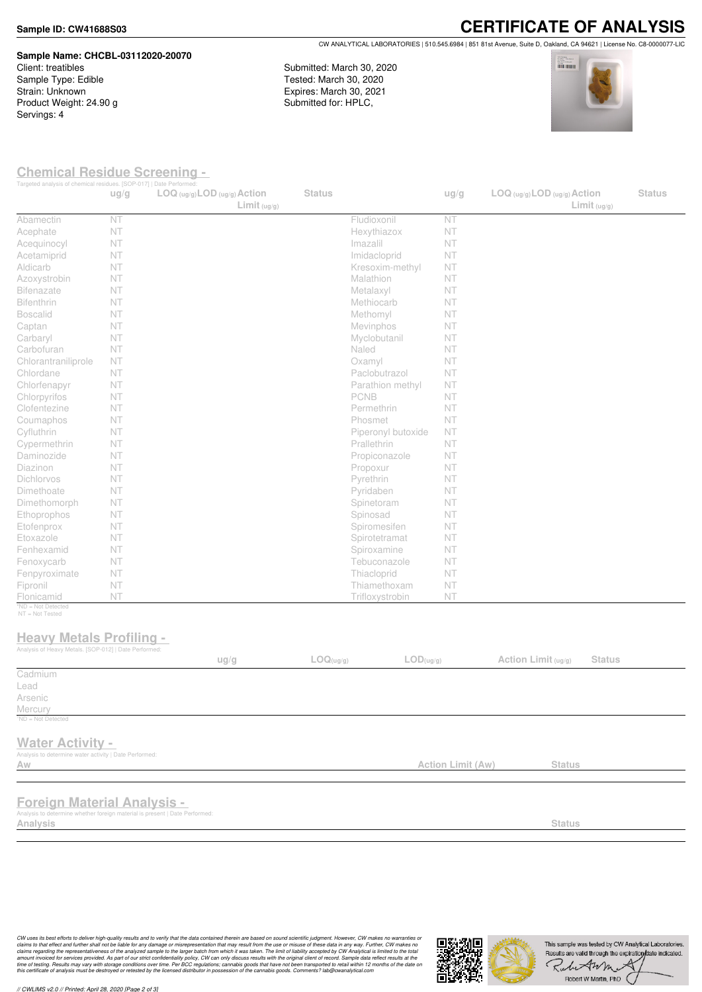#### **Sample ID: CW41688S03**

# **Sample Name: CHCBL-03112020-20070** Client: treatibles

Sample Type: Edible Strain: Unknown Product Weight: 24.90 g Servings: 4

**CERTIFICATE OF ANALYSIS** CW ANALYTICAL LABORATORIES | 510.545.6984 | 851 81st Avenue, Suite D, Oakland, CA 94621 | License No. C8-0000077-LIC

Submitted: March 30, 2020 Tested: March 30, 2020 Expires: March 30, 2021 Submitted for: HPLC,



### **Chemical Residue Screening -**

|                                                                             | ug/g | Targeted analysis of chemical residues. [SOP-017]   Date Performed:<br>LOG (ug/g) LOD (ug/g) Action<br>Limit <sub>(ug/g)</sub> | <b>Status</b> |                               | ug/g                     | $LOG$ (ug/g) $LOD$ (ug/g) $Action$<br>Limit <sub>(ug/g)</sub> | <b>Status</b> |
|-----------------------------------------------------------------------------|------|--------------------------------------------------------------------------------------------------------------------------------|---------------|-------------------------------|--------------------------|---------------------------------------------------------------|---------------|
| Abamectin                                                                   | NT   |                                                                                                                                |               | Fludioxonil                   | NT                       |                                                               |               |
| Acephate                                                                    | NT   |                                                                                                                                |               | Hexythiazox                   | NT                       |                                                               |               |
| Acequinocyl                                                                 | NT   |                                                                                                                                |               | Imazalil                      | NT                       |                                                               |               |
| Acetamiprid                                                                 | NT   |                                                                                                                                |               | Imidacloprid                  | NT                       |                                                               |               |
| Aldicarb                                                                    | NT   |                                                                                                                                |               | Kresoxim-methyl               | NT                       |                                                               |               |
| Azoxystrobin                                                                | NT   |                                                                                                                                |               | Malathion                     | NT                       |                                                               |               |
| <b>Bifenazate</b>                                                           | NT   |                                                                                                                                |               | Metalaxyl                     | NT                       |                                                               |               |
| Bifenthrin                                                                  | NT   |                                                                                                                                |               | Methiocarb                    | NT                       |                                                               |               |
| <b>Boscalid</b>                                                             | NT   |                                                                                                                                |               | Methomyl                      | NT                       |                                                               |               |
| Captan                                                                      | NT   |                                                                                                                                |               | Mevinphos                     | NT                       |                                                               |               |
| Carbaryl                                                                    | NT   |                                                                                                                                |               | Myclobutanil                  | NT                       |                                                               |               |
| Carbofuran                                                                  | NT   |                                                                                                                                |               | Naled                         | NT                       |                                                               |               |
| Chlorantraniliprole                                                         | NT   |                                                                                                                                |               | Oxamyl                        | NT                       |                                                               |               |
| Chlordane                                                                   | NT   |                                                                                                                                |               | Paclobutrazol                 | NT                       |                                                               |               |
| Chlorfenapyr                                                                | NT   |                                                                                                                                |               | Parathion methyl              | NT                       |                                                               |               |
| Chlorpyrifos                                                                | NT   |                                                                                                                                |               | PCNB                          | NT                       |                                                               |               |
| Clofentezine                                                                | NT   |                                                                                                                                |               | Permethrin                    | NT                       |                                                               |               |
| Coumaphos                                                                   | NT   |                                                                                                                                |               | Phosmet                       | NT                       |                                                               |               |
| Cyfluthrin                                                                  | NT   |                                                                                                                                |               | Piperonyl butoxide            | NT                       |                                                               |               |
| Cypermethrin                                                                | NT   |                                                                                                                                |               | Prallethrin                   | NT                       |                                                               |               |
| Daminozide                                                                  | NT   |                                                                                                                                |               | Propiconazole                 | NT                       |                                                               |               |
| Diazinon                                                                    | NT   |                                                                                                                                |               | Propoxur                      | NT                       |                                                               |               |
| Dichlorvos                                                                  | NT   |                                                                                                                                |               | Pyrethrin                     | NT                       |                                                               |               |
| Dimethoate                                                                  | NT   |                                                                                                                                |               | Pyridaben                     | NT                       |                                                               |               |
| Dimethomorph                                                                | NT   |                                                                                                                                |               | Spinetoram                    | NT                       |                                                               |               |
| Ethoprophos                                                                 | NT   |                                                                                                                                |               | Spinosad                      | NT                       |                                                               |               |
| Etofenprox                                                                  | NT   |                                                                                                                                |               | Spiromesifen                  | NT                       |                                                               |               |
| Etoxazole                                                                   | NT   |                                                                                                                                |               | Spirotetramat                 | NT                       |                                                               |               |
| Fenhexamid                                                                  | NT   |                                                                                                                                |               | Spiroxamine                   | NT                       |                                                               |               |
| Fenoxycarb                                                                  | NT   |                                                                                                                                |               | Tebuconazole                  | NT                       |                                                               |               |
| Fenpyroximate                                                               | NT   |                                                                                                                                |               | Thiacloprid                   | NT                       |                                                               |               |
| Fipronil                                                                    | NT   |                                                                                                                                |               | Thiamethoxam                  | NT                       |                                                               |               |
| Flonicamid                                                                  | NT   |                                                                                                                                |               | Trifloxystrobin               | NT                       |                                                               |               |
| *ND = Not Detected<br>NT = Not Tested                                       |      |                                                                                                                                |               |                               |                          |                                                               |               |
| <b>Heavy Metals Profiling -</b>                                             |      |                                                                                                                                |               |                               |                          |                                                               |               |
| Analysis of Heavy Metals. [SOP-012]   Date Performed:                       |      |                                                                                                                                |               |                               |                          |                                                               |               |
|                                                                             |      | ug/g                                                                                                                           | LOG(ug/g)     | $\mathsf{LOD}(\mathsf{ug/g})$ |                          | Action Limit (ug/g)<br><b>Status</b>                          |               |
| Cadmium                                                                     |      |                                                                                                                                |               |                               |                          |                                                               |               |
| Lead                                                                        |      |                                                                                                                                |               |                               |                          |                                                               |               |
| Arsenic                                                                     |      |                                                                                                                                |               |                               |                          |                                                               |               |
| Mercury                                                                     |      |                                                                                                                                |               |                               |                          |                                                               |               |
| <sup>1</sup> ND = Not Detected                                              |      |                                                                                                                                |               |                               |                          |                                                               |               |
| <b>Water Activity -</b>                                                     |      |                                                                                                                                |               |                               |                          |                                                               |               |
| Analysis to determine water activity   Date Performed:                      |      |                                                                                                                                |               |                               |                          |                                                               |               |
| Aw                                                                          |      |                                                                                                                                |               |                               | <b>Action Limit (Aw)</b> | <b>Status</b>                                                 |               |
|                                                                             |      |                                                                                                                                |               |                               |                          |                                                               |               |
|                                                                             |      |                                                                                                                                |               |                               |                          |                                                               |               |
| <b>Foreign Material Analysis -</b>                                          |      |                                                                                                                                |               |                               |                          |                                                               |               |
| Analysis to determine whether foreign material is present   Date Performed: |      |                                                                                                                                |               |                               |                          |                                                               |               |
| Analysis                                                                    |      |                                                                                                                                |               |                               |                          | <b>Status</b>                                                 |               |

CW uses its best efforts to deliver high-quality results and to verify that the data contained therein are based on sound scientific judgment. However, CW makes no warranties or<br>claims to that effect and turther shall not